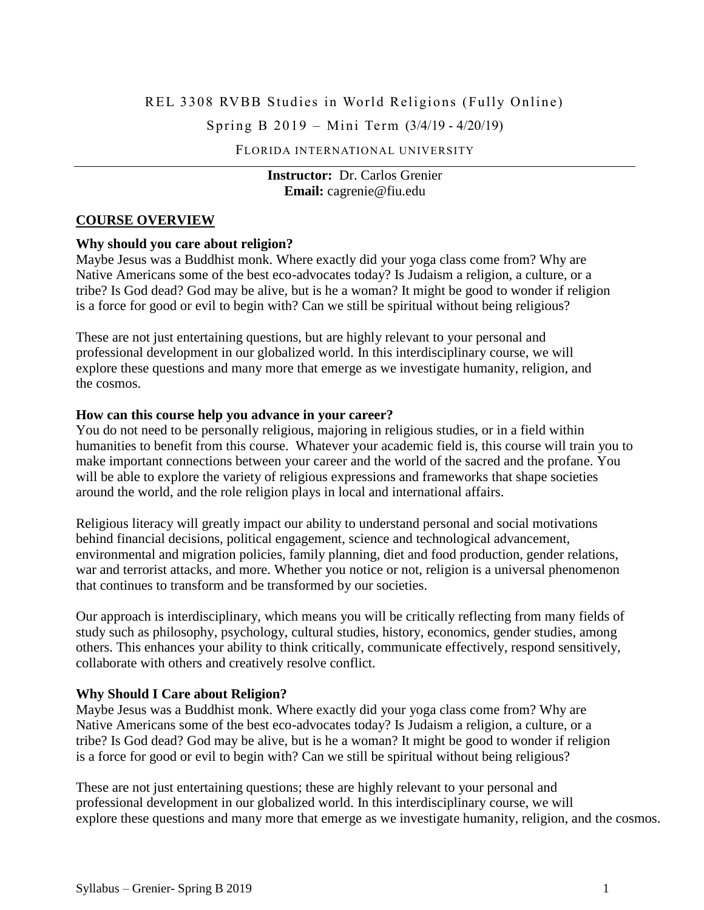# REL 3308 RVBB Studies in World Religions (Fully Online)

Spring B 2019 – Mini Term (3/4/19 - 4/20/19)

FLORIDA INTERNATIONAL UNIVERSITY

#### **Instructor:** Dr. Carlos Grenier **Email:** [cagrenie@fiu.edu](mailto:cagrenie@fiu.edu)

#### **COURSE OVERVIEW**

#### **Why should you care about religion?**

Maybe Jesus was a Buddhist monk. Where exactly did your yoga class come from? Why are Native Americans some of the best eco-advocates today? Is Judaism a religion, a culture, or a tribe? Is God dead? God may be alive, but is he a woman? It might be good to wonder if religion is a force for good or evil to begin with? Can we still be spiritual without being religious?

These are not just entertaining questions, but are highly relevant to your personal and professional development in our globalized world. In this interdisciplinary course, we will explore these questions and many more that emerge as we investigate humanity, religion, and the cosmos.

#### **How can this course help you advance in your career?**

You do not need to be personally religious, majoring in religious studies, or in a field within humanities to benefit from this course. Whatever your academic field is, this course will train you to make important connections between your career and the world of the sacred and the profane. You will be able to explore the variety of religious expressions and frameworks that shape societies around the world, and the role religion plays in local and international affairs.

Religious literacy will greatly impact our ability to understand personal and social motivations behind financial decisions, political engagement, science and technological advancement, environmental and migration policies, family planning, diet and food production, gender relations, war and terrorist attacks, and more. Whether you notice or not, religion is a universal phenomenon that continues to transform and be transformed by our societies.

Our approach is interdisciplinary, which means you will be critically reflecting from many fields of study such as philosophy, psychology, cultural studies, history, economics, gender studies, among others. This enhances your ability to think critically, communicate effectively, respond sensitively, collaborate with others and creatively resolve conflict.

#### **Why Should I Care about Religion?**

Maybe Jesus was a Buddhist monk. Where exactly did your yoga class come from? Why are Native Americans some of the best eco-advocates today? Is Judaism a religion, a culture, or a tribe? Is God dead? God may be alive, but is he a woman? It might be good to wonder if religion is a force for good or evil to begin with? Can we still be spiritual without being religious?

These are not just entertaining questions; these are highly relevant to your personal and professional development in our globalized world. In this interdisciplinary course, we will explore these questions and many more that emerge as we investigate humanity, religion, and the cosmos.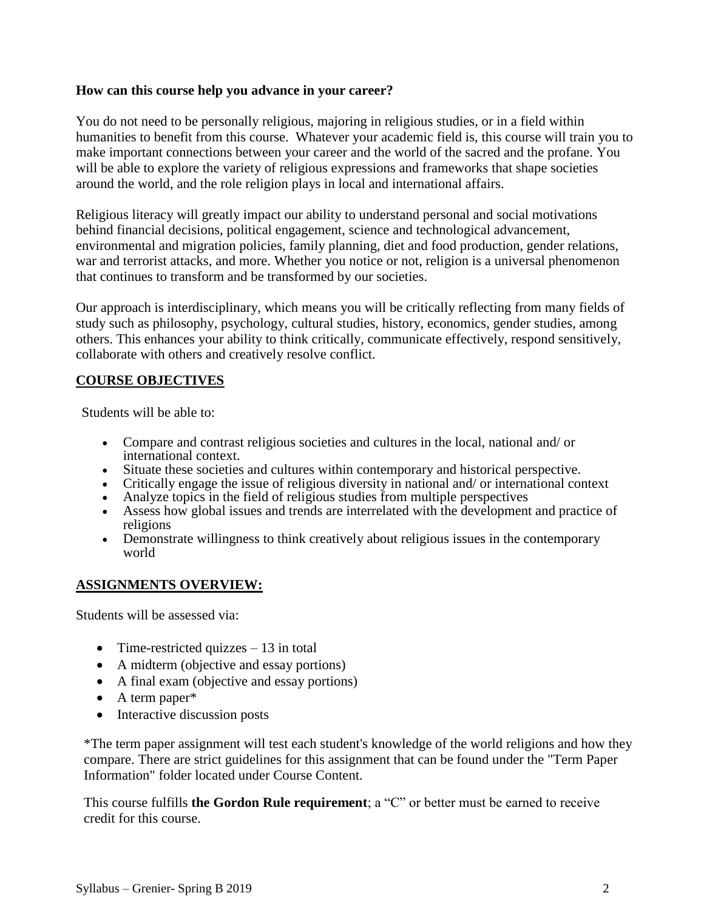#### **How can this course help you advance in your career?**

You do not need to be personally religious, majoring in religious studies, or in a field within humanities to benefit from this course. Whatever your academic field is, this course will train you to make important connections between your career and the world of the sacred and the profane. You will be able to explore the variety of religious expressions and frameworks that shape societies around the world, and the role religion plays in local and international affairs.

Religious literacy will greatly impact our ability to understand personal and social motivations behind financial decisions, political engagement, science and technological advancement, environmental and migration policies, family planning, diet and food production, gender relations, war and terrorist attacks, and more. Whether you notice or not, religion is a universal phenomenon that continues to transform and be transformed by our societies.

Our approach is interdisciplinary, which means you will be critically reflecting from many fields of study such as philosophy, psychology, cultural studies, history, economics, gender studies, among others. This enhances your ability to think critically, communicate effectively, respond sensitively, collaborate with others and creatively resolve conflict.

### **COURSE OBJECTIVES**

Students will be able to:

- Compare and contrast religious societies and cultures in the local, national and/ or international context.
- Situate these societies and cultures within contemporary and historical perspective.
- Critically engage the issue of religious diversity in national and/ or international context
- Analyze topics in the field of religious studies from multiple perspectives
- Assess how global issues and trends are interrelated with the development and practice of religions
- Demonstrate willingness to think creatively about religious issues in the contemporary world

# **ASSIGNMENTS OVERVIEW:**

Students will be assessed via:

- Time-restricted quizzes  $-13$  in total
- A midterm (objective and essay portions)
- A final exam (objective and essay portions)
- A term paper\*
- Interactive discussion posts

\*The term paper assignment will test each student's knowledge of the world religions and how they compare. There are strict guidelines for this assignment that can be found under the "Term Paper Information" folder located under Course Content.

This course fulfills **the Gordon Rule requirement**; a "C" or better must be earned to receive credit for this course.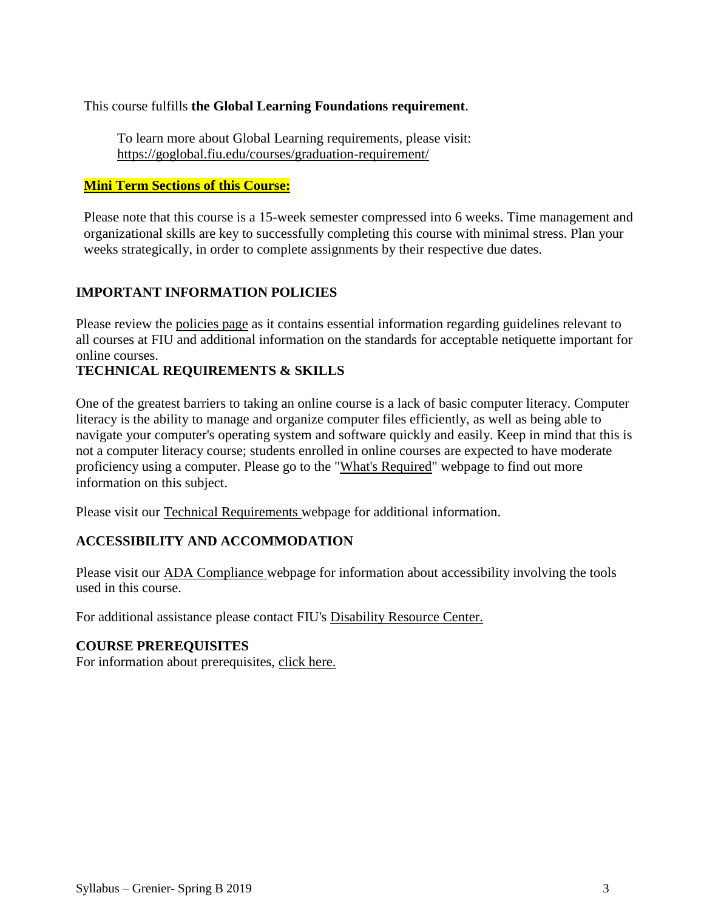This course fulfills **the Global Learning Foundations requirement**.

To learn more about Global Learning requirements, please visit: <https://goglobal.fiu.edu/courses/graduation-requirement/>

### **Mini Term Sections of this Course:**

Please note that this course is a 15-week semester compressed into 6 weeks. Time management and organizational skills are key to successfully completing this course with minimal stress. Plan your weeks strategically, in order to complete assignments by their respective due dates.

# **IMPORTANT INFORMATION POLICIES**

Please review the policies page as it contains essential information regarding guidelines relevant to all courses at FIU and additional information on the standards for acceptable netiquette important for online courses.

# **TECHNICAL REQUIREMENTS & SKILLS**

One of the greatest barriers to taking an online course is a lack of basic computer literacy. Computer literacy is the ability to manage and organize computer files efficiently, as well as being able to navigate your computer's operating system and software quickly and easily. Keep in mind that this is not a computer literacy course; students enrolled in online courses are expected to have moderate proficiency using a computer. Please go to the ["What's Required"](http://online.fiu.edu/futurestudents/whatsrequired) webpage to find out more information on this subject.

Please visit our [Technical Requirements w](http://online.fiu.edu/app/webroot/html/blackboardlearn/mastertemplate/technical_requirements/)ebpage for additional information.

# **ACCESSIBILITY AND ACCOMMODATION**

Please visit our [ADA Compliance w](http://online.fiu.edu/app/webroot/html/blackboardlearn/mastertemplate/accessibility/)ebpage for information about accessibility involving the tools used in this course.

For additional assistance please contact FIU's [Disability Resource Center.](http://drc.fiu.edu/)

# **COURSE PREREQUISITES**

For information about prerequisites, [click here.](http://catalog.fiu.edu/coursesearch/index.php)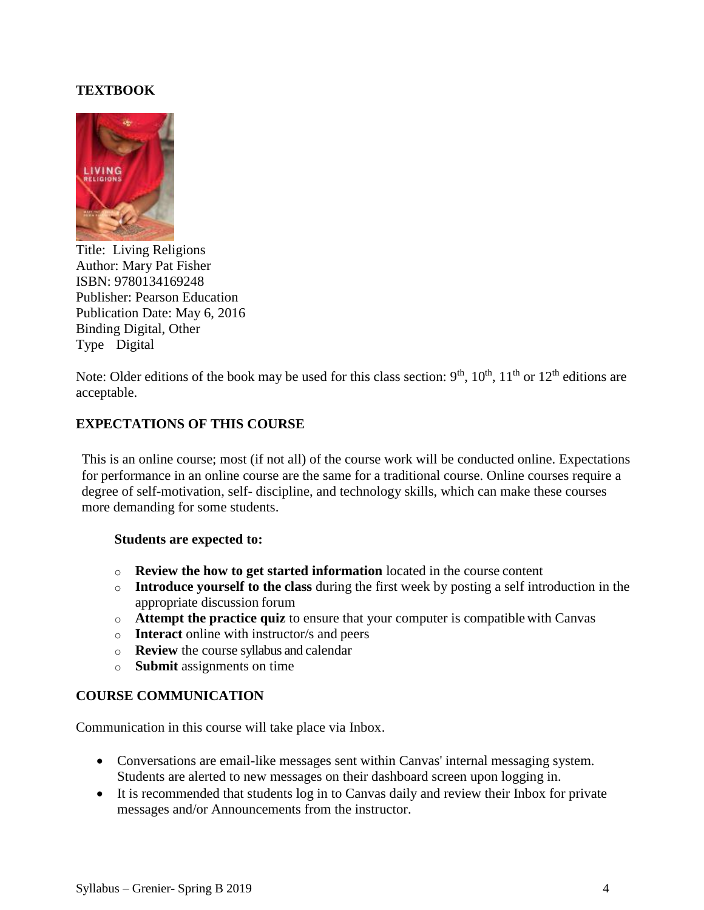### **TEXTBOOK**



Title: Living Religions Author: Mary Pat Fisher ISBN: 9780134169248 Publisher: Pearson Education Publication Date: May 6, 2016 Binding Digital, Other Type Digital

Note: Older editions of the book may be used for this class section:  $9<sup>th</sup>$ ,  $10<sup>th</sup>$ ,  $11<sup>th</sup>$  or  $12<sup>th</sup>$  editions are acceptable.

### **EXPECTATIONS OF THIS COURSE**

This is an online course; most (if not all) of the course work will be conducted online. Expectations for performance in an online course are the same for a traditional course. Online courses require a degree of self-motivation, self- discipline, and technology skills, which can make these courses more demanding for some students.

#### **Students are expected to:**

- o **Review the how to get started information** located in the course content
- o **Introduce yourself to the class** during the first week by posting a self introduction in the appropriate discussion forum
- o **Attempt the practice quiz** to ensure that your computer is compatiblewith Canvas
- o **Interact** online with instructor/s and peers
- o **Review** the course syllabus and calendar
- o **Submit** assignments on time

# **COURSE COMMUNICATION**

Communication in this course will take place via Inbox.

- Conversations are email-like messages sent within Canvas' internal messaging system. Students are alerted to new messages on their dashboard screen upon logging in.
- It is recommended that students log in to Canvas daily and review their Inbox for private messages and/or Announcements from the instructor.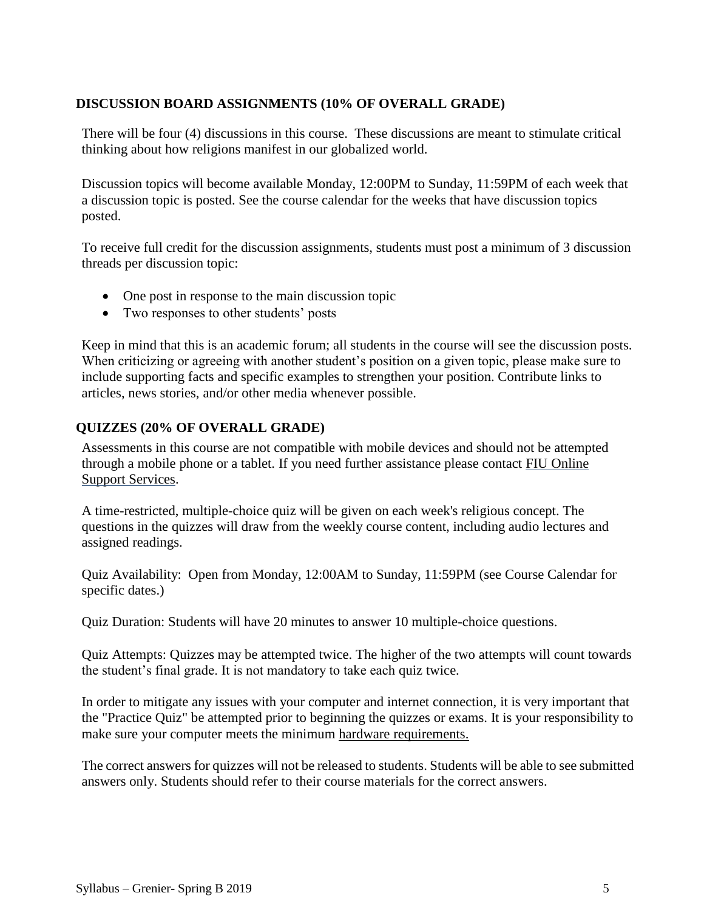# **DISCUSSION BOARD ASSIGNMENTS (10% OF OVERALL GRADE)**

There will be four (4) discussions in this course. These discussions are meant to stimulate critical thinking about how religions manifest in our globalized world.

Discussion topics will become available Monday, 12:00PM to Sunday, 11:59PM of each week that a discussion topic is posted. See the course calendar for the weeks that have discussion topics posted.

To receive full credit for the discussion assignments, students must post a minimum of 3 discussion threads per discussion topic:

- One post in response to the main discussion topic
- Two responses to other students' posts

Keep in mind that this is an academic forum; all students in the course will see the discussion posts. When criticizing or agreeing with another student's position on a given topic, please make sure to include supporting facts and specific examples to strengthen your position. Contribute links to articles, news stories, and/or other media whenever possible.

# **QUIZZES (20% OF OVERALL GRADE)**

Assessments in this course are not compatible with mobile devices and should not be attempted through a mobile phone or a tablet. If you need further assistance please contact FIU Online Support Services.

A time-restricted, multiple-choice quiz will be given on each week's religious concept. The questions in the quizzes will draw from the weekly course content, including audio lectures and assigned readings.

Quiz Availability: Open from Monday, 12:00AM to Sunday, 11:59PM (see Course Calendar for specific dates.)

Quiz Duration: Students will have 20 minutes to answer 10 multiple-choice questions.

Quiz Attempts: Quizzes may be attempted twice. The higher of the two attempts will count towards the student's final grade. It is not mandatory to take each quiz twice.

In order to mitigate any issues with your computer and internet connection, it is very important that the "Practice Quiz" be attempted prior to beginning the quizzes or exams. It is your responsibility to make sure your computer meets the minimum [hardware requirements.](http://online.fiu.edu/future_whats_required.html)

The correct answers for quizzes will not be released to students. Students will be able to see submitted answers only. Students should refer to their course materials for the correct answers.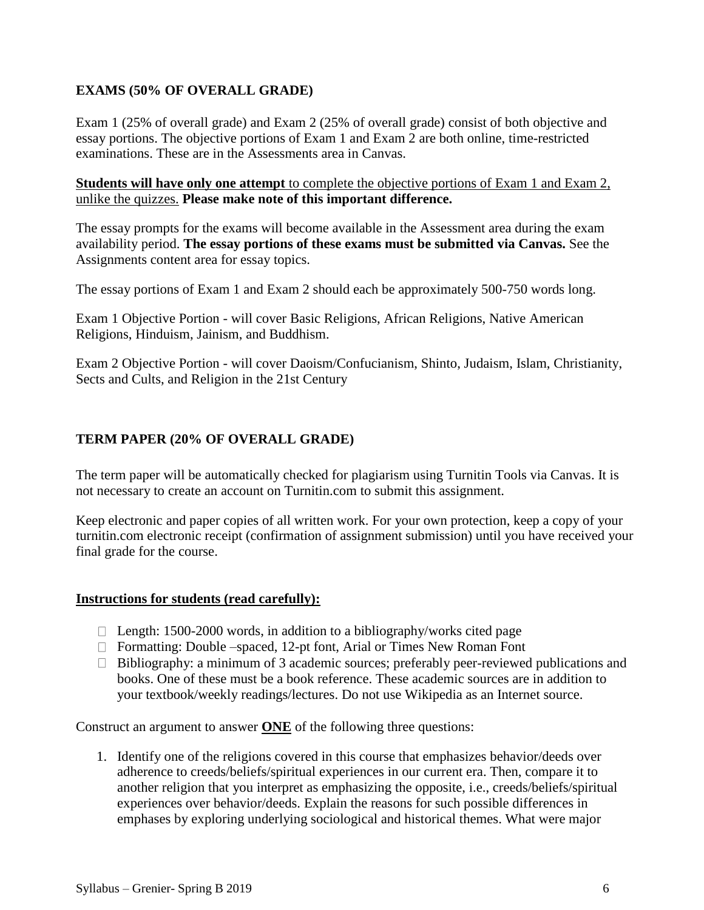# **EXAMS (50% OF OVERALL GRADE)**

Exam 1 (25% of overall grade) and Exam 2 (25% of overall grade) consist of both objective and essay portions. The objective portions of Exam 1 and Exam 2 are both online, time-restricted examinations. These are in the Assessments area in Canvas.

**Students will have only one attempt** to complete the objective portions of Exam 1 and Exam 2, unlike the quizzes. **Please make note of this important difference.**

The essay prompts for the exams will become available in the Assessment area during the exam availability period. **The essay portions of these exams must be submitted via Canvas.** See the Assignments content area for essay topics.

The essay portions of Exam 1 and Exam 2 should each be approximately 500-750 words long.

Exam 1 Objective Portion - will cover Basic Religions, African Religions, Native American Religions, Hinduism, Jainism, and Buddhism.

Exam 2 Objective Portion - will cover Daoism/Confucianism, Shinto, Judaism, Islam, Christianity, Sects and Cults, and Religion in the 21st Century

# **TERM PAPER (20% OF OVERALL GRADE)**

The term paper will be automatically checked for plagiarism using Turnitin Tools via Canvas. It is not necessary to create an account on Turnitin.com to submit this assignment.

Keep electronic and paper copies of all written work. For your own protection, keep a copy of your turnitin.com electronic receipt (confirmation of assignment submission) until you have received your final grade for the course.

#### **Instructions for students (read carefully):**

- $\Box$  Length: 1500-2000 words, in addition to a bibliography/works cited page
- $\Box$  Formatting: Double –spaced, 12-pt font, Arial or Times New Roman Font
- $\Box$  Bibliography: a minimum of 3 academic sources; preferably peer-reviewed publications and books. One of these must be a book reference. These academic sources are in addition to your textbook/weekly readings/lectures. Do not use Wikipedia as an Internet source.

Construct an argument to answer **ONE** of the following three questions:

1. Identify one of the religions covered in this course that emphasizes behavior/deeds over adherence to creeds/beliefs/spiritual experiences in our current era. Then, compare it to another religion that you interpret as emphasizing the opposite, i.e., creeds/beliefs/spiritual experiences over behavior/deeds. Explain the reasons for such possible differences in emphases by exploring underlying sociological and historical themes. What were major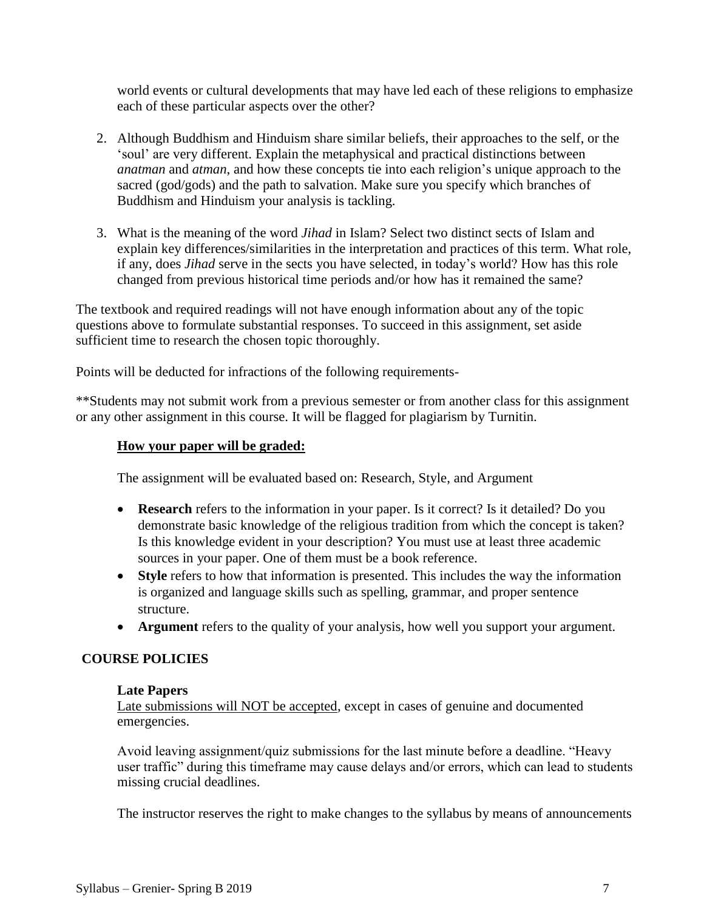world events or cultural developments that may have led each of these religions to emphasize each of these particular aspects over the other?

- 2. Although Buddhism and Hinduism share similar beliefs, their approaches to the self, or the 'soul' are very different. Explain the metaphysical and practical distinctions between *anatman* and *atman*, and how these concepts tie into each religion's unique approach to the sacred (god/gods) and the path to salvation. Make sure you specify which branches of Buddhism and Hinduism your analysis is tackling.
- 3. What is the meaning of the word *Jihad* in Islam? Select two distinct sects of Islam and explain key differences/similarities in the interpretation and practices of this term. What role, if any, does *Jihad* serve in the sects you have selected, in today's world? How has this role changed from previous historical time periods and/or how has it remained the same?

The textbook and required readings will not have enough information about any of the topic questions above to formulate substantial responses. To succeed in this assignment, set aside sufficient time to research the chosen topic thoroughly.

Points will be deducted for infractions of the following requirements-

\*\*Students may not submit work from a previous semester or from another class for this assignment or any other assignment in this course. It will be flagged for plagiarism by Turnitin.

### **How your paper will be graded:**

The assignment will be evaluated based on: Research, Style, and Argument

- **Research** refers to the information in your paper. Is it correct? Is it detailed? Do you demonstrate basic knowledge of the religious tradition from which the concept is taken? Is this knowledge evident in your description? You must use at least three academic sources in your paper. One of them must be a book reference.
- **Style** refers to how that information is presented. This includes the way the information is organized and language skills such as spelling, grammar, and proper sentence structure.
- **Argument** refers to the quality of your analysis, how well you support your argument.

#### **COURSE POLICIES**

#### **Late Papers**

Late submissions will NOT be accepted, except in cases of genuine and documented emergencies.

Avoid leaving assignment/quiz submissions for the last minute before a deadline. "Heavy user traffic" during this timeframe may cause delays and/or errors, which can lead to students missing crucial deadlines.

The instructor reserves the right to make changes to the syllabus by means of announcements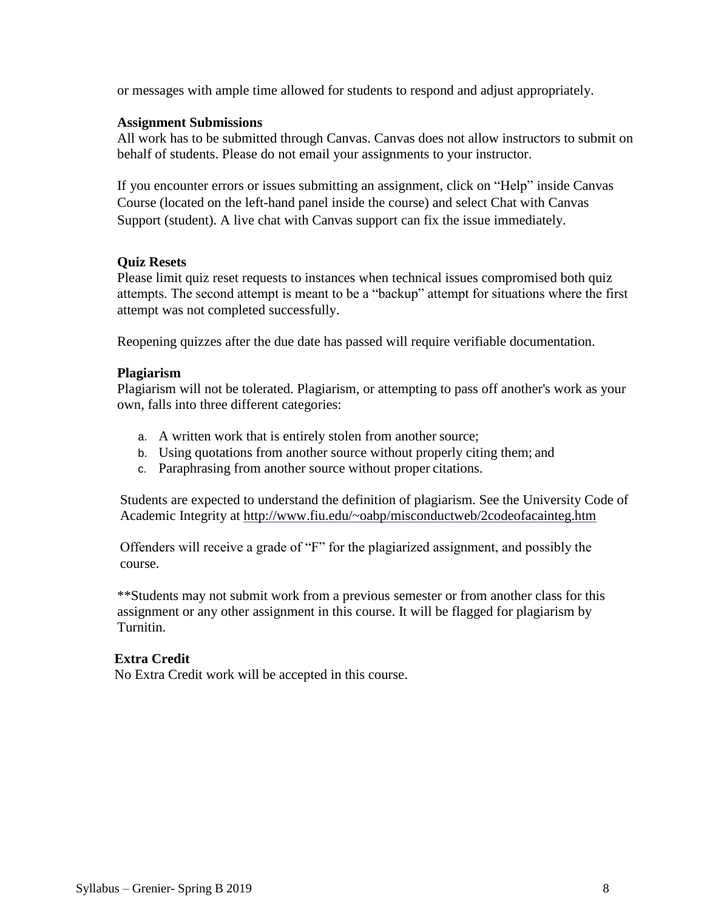or messages with ample time allowed for students to respond and adjust appropriately.

#### **Assignment Submissions**

All work has to be submitted through Canvas. Canvas does not allow instructors to submit on behalf of students. Please do not email your assignments to your instructor.

If you encounter errors or issues submitting an assignment, click on "Help" inside Canvas Course (located on the left-hand panel inside the course) and select Chat with Canvas Support (student). A live chat with Canvas support can fix the issue immediately.

# **Quiz Resets**

Please limit quiz reset requests to instances when technical issues compromised both quiz attempts. The second attempt is meant to be a "backup" attempt for situations where the first attempt was not completed successfully.

Reopening quizzes after the due date has passed will require verifiable documentation.

### **Plagiarism**

Plagiarism will not be tolerated. Plagiarism, or attempting to pass off another's work as your own, falls into three different categories:

- a. A written work that is entirely stolen from another source;
- b. Using quotations from another source without properly citing them; and
- c. Paraphrasing from another source without proper citations.

Students are expected to understand the definition of plagiarism. See the University Code of Academic Integrity at<http://www.fiu.edu/~oabp/misconductweb/2codeofacainteg.htm>

Offenders will receive a grade of "F" for the plagiarized assignment, and possibly the course.

\*\*Students may not submit work from a previous semester or from another class for this assignment or any other assignment in this course. It will be flagged for plagiarism by Turnitin.

# **Extra Credit**

No Extra Credit work will be accepted in this course.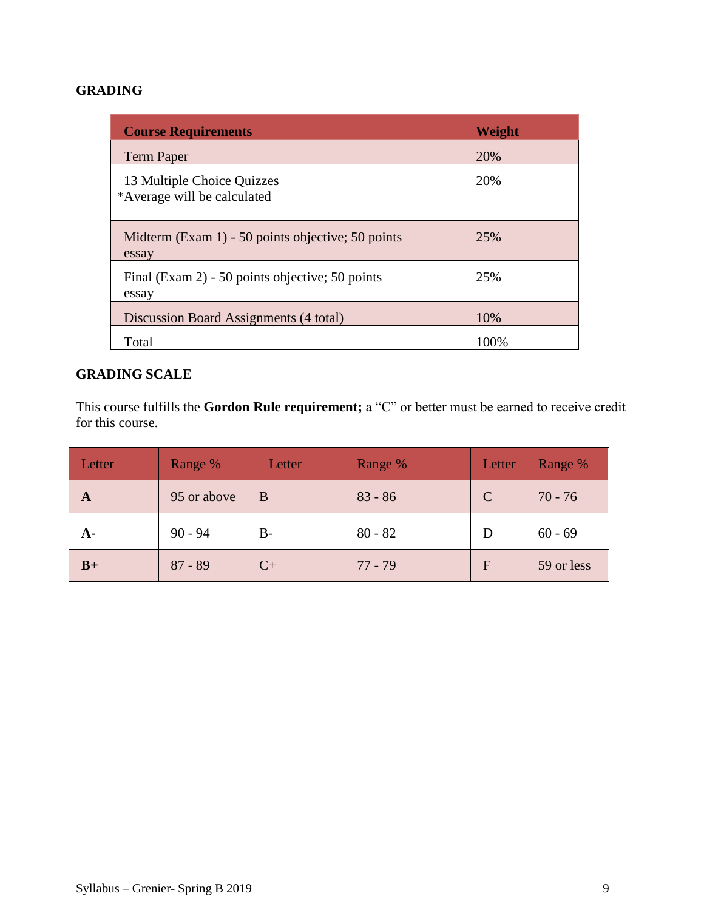# **GRADING**

| <b>Course Requirements</b>                                 | Weight |
|------------------------------------------------------------|--------|
| <b>Term Paper</b>                                          | 20%    |
| 13 Multiple Choice Quizzes<br>*Average will be calculated  | 20%    |
| Midterm (Exam 1) - 50 points objective; 50 points<br>essay | 25%    |
| Final (Exam 2) - 50 points objective; 50 points<br>essay   | 25%    |
| Discussion Board Assignments (4 total)                     | 10%    |
| Total                                                      | 100\%  |

# **GRADING SCALE**

This course fulfills the **Gordon Rule requirement;** a "C" or better must be earned to receive credit for this course.

| Letter    | Range %     | Letter    | Range %   | Letter | Range %    |
|-----------|-------------|-----------|-----------|--------|------------|
| A         | 95 or above | 'B        | $83 - 86$ | C      | $70 - 76$  |
| <b>A-</b> | $90 - 94$   | $B-$      | $80 - 82$ |        | $60 - 69$  |
| $B+$      | $87 - 89$   | $C_{\pm}$ | $77 - 79$ | F      | 59 or less |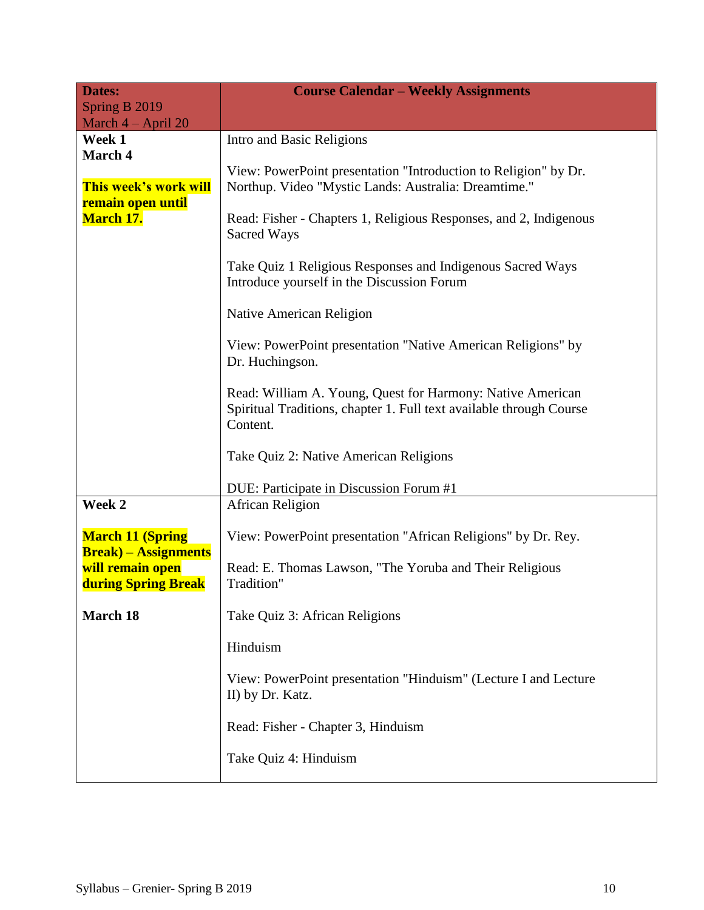| <b>Dates:</b>                                                           | <b>Course Calendar - Weekly Assignments</b>                                                                                                   |
|-------------------------------------------------------------------------|-----------------------------------------------------------------------------------------------------------------------------------------------|
| Spring B 2019<br>March $4 - April 20$                                   |                                                                                                                                               |
| Week 1                                                                  | Intro and Basic Religions                                                                                                                     |
| March 4                                                                 |                                                                                                                                               |
| This week's work will<br>remain open until<br><b>March 17.</b>          | View: PowerPoint presentation "Introduction to Religion" by Dr.<br>Northup. Video "Mystic Lands: Australia: Dreamtime."                       |
|                                                                         | Read: Fisher - Chapters 1, Religious Responses, and 2, Indigenous<br>Sacred Ways                                                              |
|                                                                         | Take Quiz 1 Religious Responses and Indigenous Sacred Ways<br>Introduce yourself in the Discussion Forum                                      |
|                                                                         | Native American Religion                                                                                                                      |
|                                                                         | View: PowerPoint presentation "Native American Religions" by<br>Dr. Huchingson.                                                               |
|                                                                         | Read: William A. Young, Quest for Harmony: Native American<br>Spiritual Traditions, chapter 1. Full text available through Course<br>Content. |
|                                                                         | Take Quiz 2: Native American Religions                                                                                                        |
|                                                                         | DUE: Participate in Discussion Forum #1                                                                                                       |
| Week 2                                                                  | African Religion                                                                                                                              |
| <b>March 11 (Spring</b>                                                 | View: PowerPoint presentation "African Religions" by Dr. Rey.                                                                                 |
| <b>Break</b> ) – Assignments<br>will remain open<br>during Spring Break | Read: E. Thomas Lawson, "The Yoruba and Their Religious<br>Tradition"                                                                         |
| <b>March 18</b>                                                         | Take Quiz 3: African Religions                                                                                                                |
|                                                                         | Hinduism                                                                                                                                      |
|                                                                         | View: PowerPoint presentation "Hinduism" (Lecture I and Lecture<br>II) by Dr. Katz.                                                           |
|                                                                         | Read: Fisher - Chapter 3, Hinduism                                                                                                            |
|                                                                         | Take Quiz 4: Hinduism                                                                                                                         |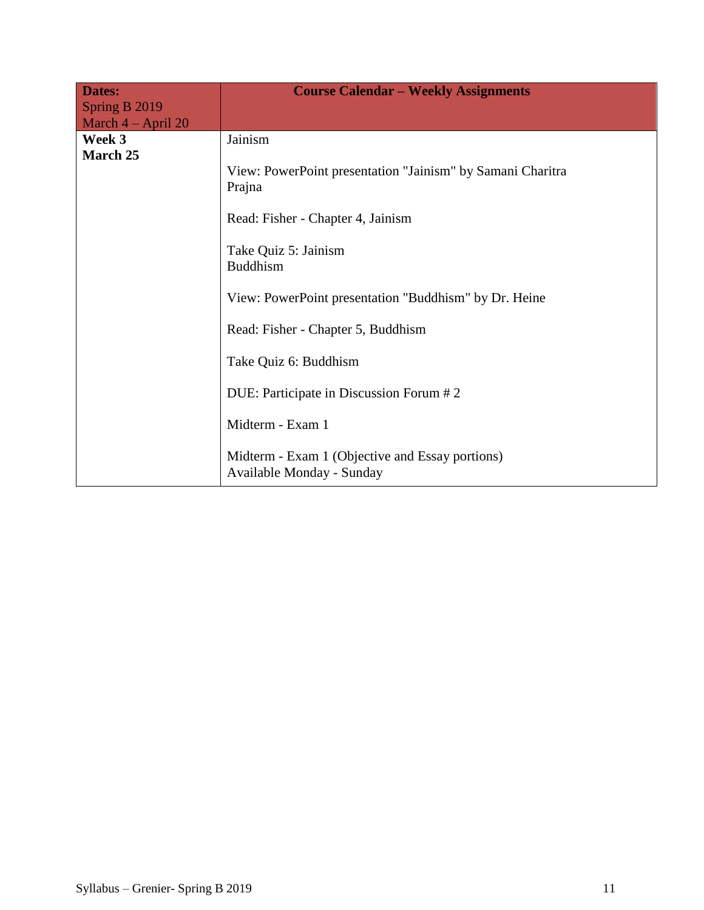| <b>Dates:</b>                         | <b>Course Calendar – Weekly Assignments</b>                                  |
|---------------------------------------|------------------------------------------------------------------------------|
| Spring B 2019<br>March $4 - April 20$ |                                                                              |
| Week 3                                | Jainism                                                                      |
| March 25                              | View: PowerPoint presentation "Jainism" by Samani Charitra<br>Prajna         |
|                                       | Read: Fisher - Chapter 4, Jainism                                            |
|                                       | Take Quiz 5: Jainism<br><b>Buddhism</b>                                      |
|                                       | View: PowerPoint presentation "Buddhism" by Dr. Heine                        |
|                                       | Read: Fisher - Chapter 5, Buddhism                                           |
|                                       | Take Quiz 6: Buddhism                                                        |
|                                       | DUE: Participate in Discussion Forum #2                                      |
|                                       | Midterm - Exam 1                                                             |
|                                       | Midterm - Exam 1 (Objective and Essay portions)<br>Available Monday - Sunday |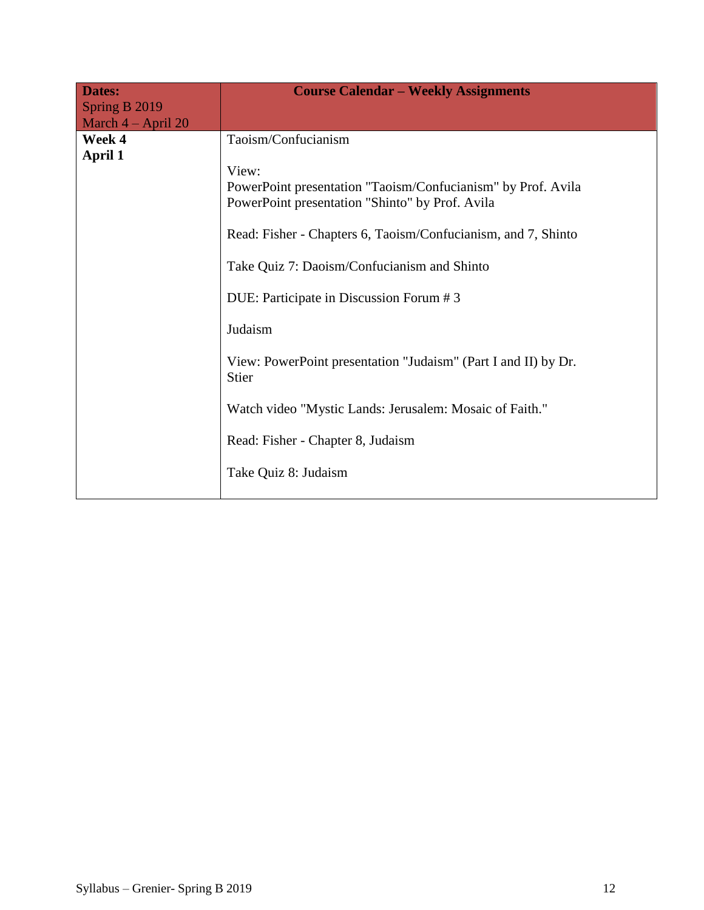| Dates:                                | <b>Course Calendar - Weekly Assignments</b>                             |
|---------------------------------------|-------------------------------------------------------------------------|
| Spring B 2019<br>March $4 - April 20$ |                                                                         |
| Week 4                                | Taoism/Confucianism                                                     |
| April 1                               |                                                                         |
|                                       | View:                                                                   |
|                                       | PowerPoint presentation "Taoism/Confucianism" by Prof. Avila            |
|                                       | PowerPoint presentation "Shinto" by Prof. Avila                         |
|                                       | Read: Fisher - Chapters 6, Taoism/Confucianism, and 7, Shinto           |
|                                       | Take Quiz 7: Daoism/Confucianism and Shinto                             |
|                                       | DUE: Participate in Discussion Forum #3                                 |
|                                       | Judaism                                                                 |
|                                       | View: PowerPoint presentation "Judaism" (Part I and II) by Dr.<br>Stier |
|                                       | Watch video "Mystic Lands: Jerusalem: Mosaic of Faith."                 |
|                                       | Read: Fisher - Chapter 8, Judaism                                       |
|                                       | Take Quiz 8: Judaism                                                    |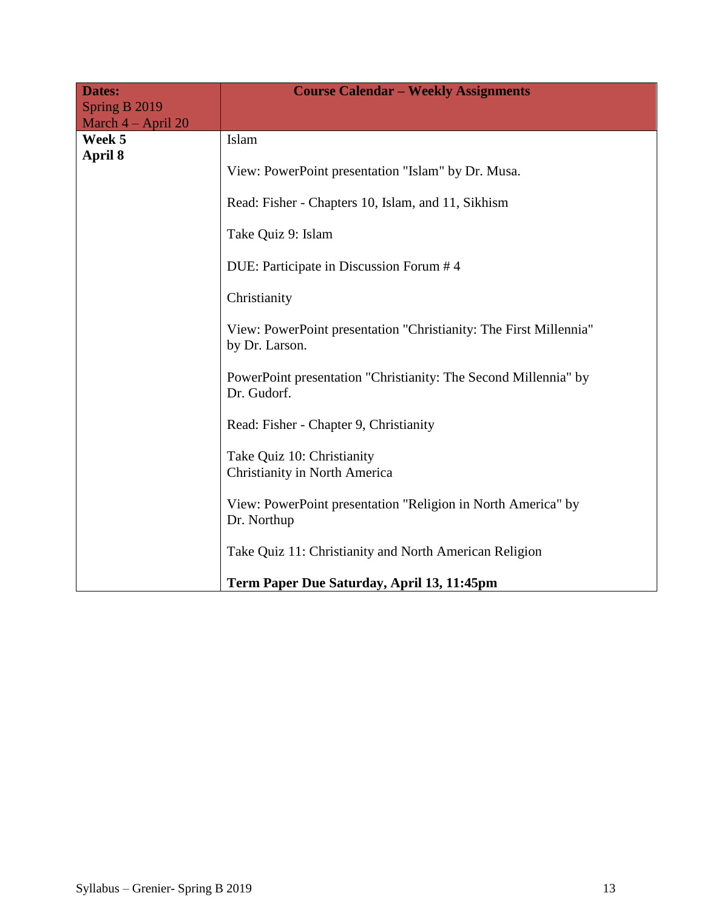| Dates:<br>Spring B 2019 | <b>Course Calendar - Weekly Assignments</b>                                         |
|-------------------------|-------------------------------------------------------------------------------------|
| March 4 - April 20      |                                                                                     |
| Week 5<br>April 8       | Islam                                                                               |
|                         | View: PowerPoint presentation "Islam" by Dr. Musa.                                  |
|                         | Read: Fisher - Chapters 10, Islam, and 11, Sikhism                                  |
|                         | Take Quiz 9: Islam                                                                  |
|                         | DUE: Participate in Discussion Forum #4                                             |
|                         | Christianity                                                                        |
|                         | View: PowerPoint presentation "Christianity: The First Millennia"<br>by Dr. Larson. |
|                         | PowerPoint presentation "Christianity: The Second Millennia" by<br>Dr. Gudorf.      |
|                         | Read: Fisher - Chapter 9, Christianity                                              |
|                         | Take Quiz 10: Christianity<br><b>Christianity in North America</b>                  |
|                         | View: PowerPoint presentation "Religion in North America" by<br>Dr. Northup         |
|                         | Take Quiz 11: Christianity and North American Religion                              |
|                         | Term Paper Due Saturday, April 13, 11:45pm                                          |